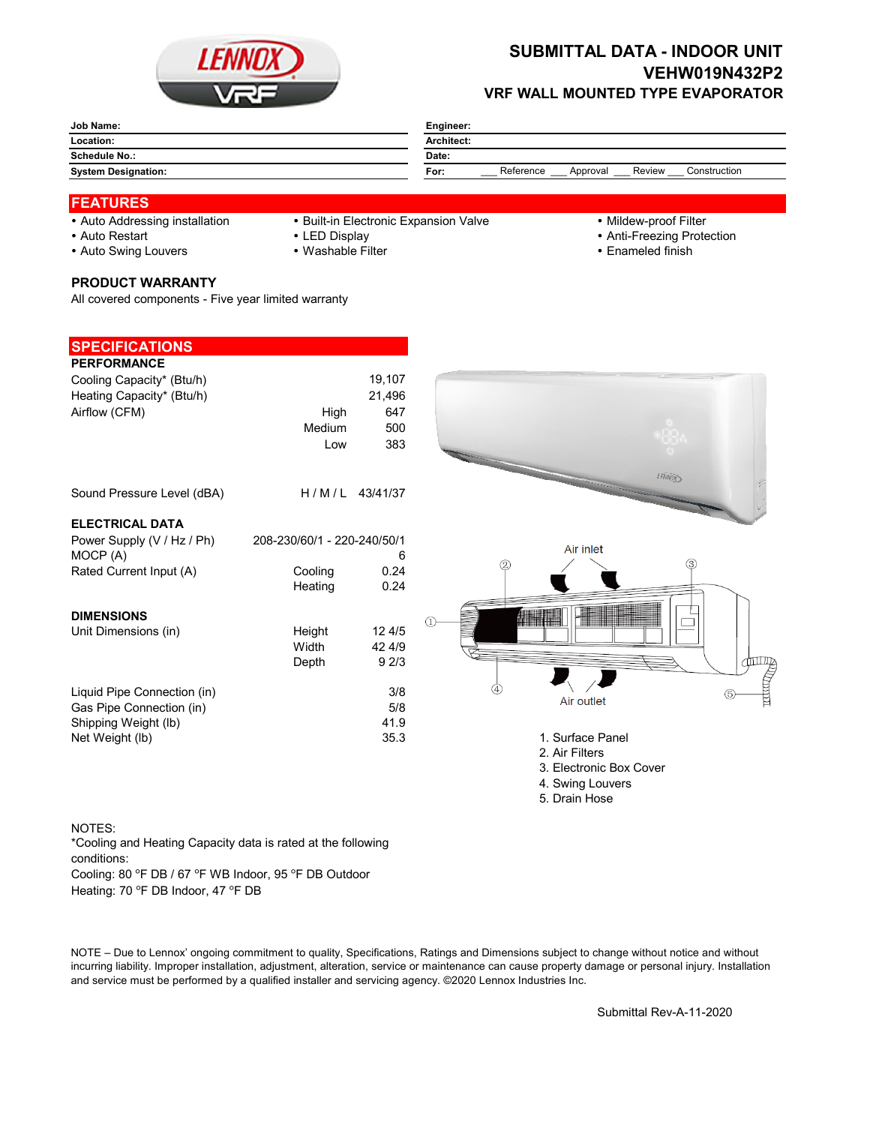

## **SUBMITTAL DATA - INDOOR UNIT VEHW019N432P2 VRF WALL MOUNTED TYPE EVAPORATOR**

| Job Name:                  | Engineer:                                               |  |  |  |  |
|----------------------------|---------------------------------------------------------|--|--|--|--|
| Location:                  | Architect:                                              |  |  |  |  |
| <b>Schedule No.:</b>       | Date:                                                   |  |  |  |  |
| <b>System Designation:</b> | Reference<br>Review<br>Construction<br>For:<br>Approval |  |  |  |  |
|                            |                                                         |  |  |  |  |

## **FEATURES**

- 
- Auto Addressing installation Built-in Electronic Expansion Valve Mildew-proof Filter
	-
- 
- 
- Auto Restart **LED Display Community Community Community Community Community Community Community Community Community Community Community Community Community Community Community Community Community Community Community Comm**
- Auto Swing Louvers Washable Filter **Enameled finish** Enameled finish
- **PRODUCT WARRANTY**

All covered components - Five year limited warranty

| <b>SPECIFICATIONS</b>       |                             |                |               |                         |                                                                                                                                                                                                                                |
|-----------------------------|-----------------------------|----------------|---------------|-------------------------|--------------------------------------------------------------------------------------------------------------------------------------------------------------------------------------------------------------------------------|
| <b>PERFORMANCE</b>          |                             |                |               |                         |                                                                                                                                                                                                                                |
| Cooling Capacity* (Btu/h)   |                             | 19,107         |               |                         |                                                                                                                                                                                                                                |
| Heating Capacity* (Btu/h)   |                             | 21,496         |               |                         |                                                                                                                                                                                                                                |
| Airflow (CFM)               | High                        | 647            |               |                         |                                                                                                                                                                                                                                |
|                             | Medium                      | 500            |               |                         |                                                                                                                                                                                                                                |
|                             | Low                         | 383            |               |                         |                                                                                                                                                                                                                                |
| Sound Pressure Level (dBA)  |                             | H/M/L 43/41/37 |               | <b>HANDED</b>           |                                                                                                                                                                                                                                |
| <b>ELECTRICAL DATA</b>      |                             |                |               |                         |                                                                                                                                                                                                                                |
| Power Supply (V / Hz / Ph)  | 208-230/60/1 - 220-240/50/1 |                |               |                         |                                                                                                                                                                                                                                |
| MOCP (A)                    |                             | 6              |               | Air inlet               |                                                                                                                                                                                                                                |
| Rated Current Input (A)     | Cooling                     | 0.24           | $\circled{2}$ |                         | $\circledS$                                                                                                                                                                                                                    |
|                             | Heating                     | 0.24           |               |                         |                                                                                                                                                                                                                                |
|                             |                             |                |               |                         |                                                                                                                                                                                                                                |
| <b>DIMENSIONS</b>           |                             |                |               | <b>ANDINAL MANAGER</b>  |                                                                                                                                                                                                                                |
| Unit Dimensions (in)        | Height                      | 12 4/5         |               |                         |                                                                                                                                                                                                                                |
|                             | Width                       | 42 4/9<br>92/3 |               |                         |                                                                                                                                                                                                                                |
|                             | Depth                       |                |               |                         | for the set of the set of the set of the set of the set of the set of the set of the set of the set of the set of the set of the set of the set of the set of the set of the set of the set of the set of the set of the set o |
| Liquid Pipe Connection (in) |                             | 3/8            |               |                         |                                                                                                                                                                                                                                |
| Gas Pipe Connection (in)    |                             | 5/8            |               | Air outlet              |                                                                                                                                                                                                                                |
| Shipping Weight (lb)        |                             | 41.9           |               |                         |                                                                                                                                                                                                                                |
| Net Weight (lb)             |                             | 35.3           |               | 1. Surface Panel        |                                                                                                                                                                                                                                |
|                             |                             |                |               | 2. Air Filters          |                                                                                                                                                                                                                                |
|                             |                             |                |               | 3. Electronic Box Cover |                                                                                                                                                                                                                                |
|                             |                             |                |               | 4. Swing Louvers        |                                                                                                                                                                                                                                |
|                             |                             |                |               | 5. Drain Hose           |                                                                                                                                                                                                                                |

## NOTES:

\*Cooling and Heating Capacity data is rated at the following conditions:

Cooling: 80 °F DB / 67 °F WB Indoor, 95 °F DB Outdoor

Heating: 70 °F DB Indoor, 47 °F DB

NOTE – Due to Lennox' ongoing commitment to quality, Specifications, Ratings and Dimensions subject to change without notice and without incurring liability. Improper installation, adjustment, alteration, service or maintenance can cause property damage or personal injury. Installation and service must be performed by a qualified installer and servicing agency. ©2020 Lennox Industries Inc.